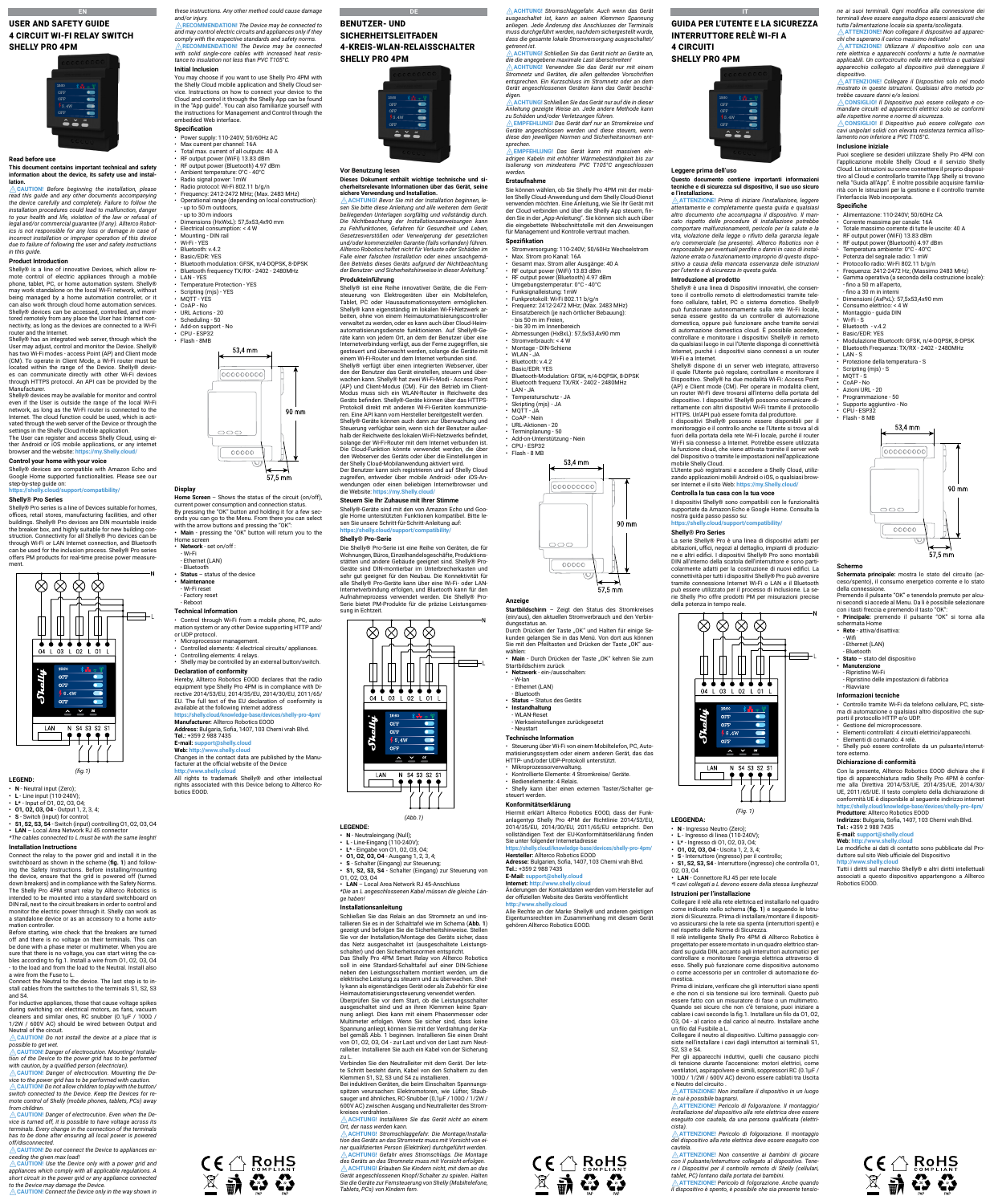## **EN EN EN EN** USER AND SAFETY GUIDE 4 CIRCUIT WI-FI RELAY SWITCH





### **Read before use**

**This document contains important technical and safety information about the device, its safety use and installation.** 

⚠**CAUTION!** *Before beginning the installation, please*  read this guide and any other documents accompanying<br>the device carefully and completely. Failure to follow the<br>installation procedures could lead to malfunction, danger<br>to your health and life, violation of the law or ref *legal and/or commercial guarantee (if any). Allterco Robotics is not responsible for any loss or damage in case of incorrect installation or improper operation of this device due to failure of following the user and safety instructions in this guide.*

Shelly® is a line of innovative Devices, which allow remote control of electric appliances through a mobile phone, tablet, PC, or home automation system. Shelly® may work standalone on the local Wi-Fi network, without being managed by a home automation controller, or it can also work through cloud home automation services. Shelly® devices can be accessed, controlled, and moni-tored remotely from any place the User has Internet connectivity, as long as the devices are connected to a Wi-Fi router and the Internet.

Shelly® has an integrated web server, through which the User may adjust, control and monitor the Device. Shelly® has two Wi-Fi modes - access Point (AP) and Client mode (CM). To operate in Client Mode, a Wi-Fi router must be located within the range of the Device. Shelly® devic-es can communicate directly with other Wi-Fi devices through HTTPS protocol. An API can be provided by the Manufacturer.

### **Product Introduction**

Shelly® devices may be available for monitor and control even if the User is outside the range of the local Wi-Fi<br>network, as long as the Wi-Fi router is connected to the<br>Internet. The cloud function could be used, which is acti-<br>vated through the web server of the Device or thr settings in the Shelly Cloud mobile application. The User can register and access Shelly Cloud, using ei-ther Android or iOS mobile applications, or any internet

- **• N** Neutral input (Zero);
- 
- **• L** Line input (110-240V); **• L\*** Input of O1, O2, O3, O4;
- **• O1, O2, O3, O4** Output 1, 2, 3, 4;
- 
- S Switch (input) for control;<br>• S1, S2, S3, S4 Switch (input) controlling 01, 02, 03, 04<br>• LAN = Local Area Network RJ 45 connector<br>\*The cables connected to L must be with the same lenght!

### browser and the website: **https://my.Shelly.cloud/**

**Control your home with your voice** Shelly® devices are compatible with Amazon Echo and

For inductive appliances, those that cause voltage spikes during switching on: electrical motors, as fans, vacuur cleaners and similar ones, RC snubber (0.1µF / 100Ω / 1/2W / 600V AC) should be wired between Output and Neutral of the circuit.

Google Home supported functionalities. Please see our step-by-step guide on:

### **https://shelly.cloud/support/compatibility/**



**LEGEND:**

### **Installation Instructions**

Connect the relay to the power grid and install it in the switchboard as shown in the scheme (**fig. 1**) and follow-ing the Safety Instructions. Before installing/mounting the device, ensure that the grid is powered off (turned down breakers) and in compliance with the Safety Norms. The Shelly Pro 4PM smart relay by Allterco Robotics is intended to be mounted into a standard switchboard on DIN rail, next to the circuit breakers in order to control and monitor the electric power through it. Shelly can work as a standalone device or as an accessory to a home auto-

mation controller. Before starting, wire check that the breakers are turned off and there is no voltage on their terminals. This can be done with a phase meter or multimeter. When you are s no voltage, you can start bles according to fig.1. Install a wire from O1, O2, O3, O4 to the load and from the load to the Neutral. Install also a wire from the Fuse to L.

Shelly®-Geräte sind mit den von Amazon Echo und Goo-gle Home unterstützten Funktionen kompatibel. Bitte lesen Sie unsere Schritt-für-Schritt-Anleitung auf: https://shelly.cloud/support/compatibil

Connect the Neutral to the device. The last step is to install cables from the switches to the terminals S1, S2, S3 and S4.

⚠**CAUTION!** *Do not install the device at a place that is possible to get wet.*

⚠**CAUTION!** *Danger of electrocution. Mounting/ Installation of the Device to the power grid has to be performed with caution, by a qualified person (electrician).* ⚠**CAUTION!** *Danger of electrocution. Mounting the Device to the power grid has to be performed with caution.* ⚠**CAUTION!** *Do not allow children to play with the button/ switch connected to the Device. Keep the Devices for remote control of Shelly (mobile phones, tablets, PCs) away* 

*from children.* ⚠**CAUTION!** *Danger of electrocution. Even when the Device is turned off, it is possible to have voltage across its terminals. Every change in the connection of the terminals has to be done after ensuring all local power is powered* 

soll in eine Standard-Schalttafel auf einer DIN-Schiene neben den Leistungsschaltern montiert werden, um die elektrische Leistung zu steuern und zu überwachen. Shelly kann als eigenständiges Gerät oder als Zubehör für eine Heimautomatisierungssteuerung verwendet werden. Überprüfen Sie vor dem Start, ob die Leistungsschalter ausgeschaltet sind und an ihren Klemmen keine Spannung anliegt. Dies kann mit einem Phasenmesser oder Multimeter erfolgen. Wenn Sie sicher sind, dass keine Spannung anliegt, können Sie mit der Verdrahtung der Kabel gemäß Abb. 1 beginnen. Installieren Sie einen Draht von O1, O2, O3, O4 - zur Last und von der Last zum Neutralleiter. Installieren Sie auch ein Kabel von der Sicherung

*off/disconnected.* ⚠**CAUTION!** *Do not connect the Device to appliances exceeding the given max load!*

⚠**CAUTION!** *Use the Device only with a power grid and appliances which comply with all applicable regulations. A short circuit in the power grid or any appliance connected to the Device may damage the Device.*

⚠**CAUTION!** *Connect the Device only in the way shown in* 



BENUTZER- UND

### SICHERHEITSLEITFADEN 4-KREIS-WLAN-RELAISSCHALTER SHELLY PRO 4PM



**DE DE DE** 

### **Vor Benutzung lesen**

**Dieses Dokument enthält wichtige technische und sicherheitsrelevante Informationen über das Gerät, seine** 

Questo documento contiene importanti informazion **tecniche e di sicurezza sul dispositivo, il suo uso sicuro**  e l'installazione.<br><u>A ATTENZIONE!</u> Prima di iniziare l'installazione, leggere ⚠**ATTENZIONE!** *Prima di iniziare l'installazione, leggere attentamente e completamente questa guida e qualsiasi altro documento che accompagna il dispositivo. Il mancato rispetto delle procedure di installazione potrebbe comportare malfunzionamenti, pericolo per la salute e la vita, violazione della legge o rifiuto della garanzia legale e/o commerciale (se presente). Allterco Robotics non è responsabile per eventuali perdite o danni in caso di installazione errata o funzionamento improprio di questo dispo-sitivo a causa della mancata osservanza delle istruzioni* 

**sichere Verwendung und Installation.** ⚠**ACHTUNG!** *Bevor Sie mit der Installation beginnen, le-sen Sie bitte diese Anleitung und alle weiteren dem Gerät beiliegenden Unterlagen sorgfältig und vollständig durch. Die Nichtbeachtung der Installationsanweisungen kann*  zu Fehlfunktionen, Gefahren für Gesundheit und Leben,<br>Gesetzesverstößen oder Verweigerung der gesetzlichen<br>und/oderkommerziellen Garantie (falls vorhanden) führen.<br>Allterco Robotics haftet nicht für Verluste oder Schäden i *Falle einer falschen Installation oder eines unsachgemäßen Betriebs dieses Geräts aufgrund der Nichtbeachtung der Benutzer- und Sicherheitshinweise in dieser Anleitung."*

### **Produkteinführung**

Shelly® dispone di un server web integrato, attraverso<br>il quale l'Utente può regolare, controllare e monitorare il<br>Dispositivo. Shelly® ha due modalità Wi-Fi: Access Point<br>(AP) e Client mode (CM). Per operare in modalità c un router Wi-Fi deve trovarsi all'interno della portata del dispositivo. I dispositivi Shelly® possono comunicare di-rettamente con altri dispositivi Wi-Fi tramite il protocollo HTTPS. Un'API può essere fornita dal produttore. I dispositivi Shelly® possono essere disponibili per il monitoraggio e il controllo anche se l'Utente si trova al di fuori della portata della rete Wi-Fi locale, purché il router Wi-Fi sia connesso a Internet. Potrebbe essere utilizzata la funzione cloud, che viene attivata tramite il server web del Dispositivo o tramite le impostazioni nell'applicazione

Shelly® ist eine Reihe innovativer Geräte, die die Fernsteuerung von Elektrogeräten über ein Mobiltelefon, Tablet, PC oder Hausautomationssystem ermöglichen. Shelly® kann eigenständig im lokalen Wi-Fi-Netzwerk arbeiten, ohne von einem Heimautomatisierungscontroller verwaltet zu werden, oder es kann auch über Cloud-Heimautomatisierungsdienste funktionieren. Auf Shelly®-Ge-räte kann von jedem Ort, an dem der Benutzer über eine Internetverbindung verfügt, aus der Ferne zugegriffen, sie gesteuert und überwacht werden, solange die Geräte mit einem Wi-Fi-Router und dem Internet verbunden sind. Shelly® verfügt über einen integrierten Webserver, über<br>den der Benutzer das Gerät einstellen, steuern und über-<br>wachen kann. Shelly® hat zwei Wi-Fi-Modi - Access Point<br>(AP) und Client-Modus (CM). Für den Betrieb im Client Modus muss sich ein WLAN-Router in Reichweite des Geräts befinden. Shelly®-Geräte können über das HTTPS-Protokoll direkt mit anderen Wi-Fi-Geräten kommunizie-ren. Eine API kann vom Hersteller bereitgestellt werden. Shelly®-Geräte können auch dann zur Überwachung und Steuerung verfügbar sein, wenn sich der Benutzer außer-<br>halb der Reichweite des lokalen Wi-Fi-Netzwerks befindet,<br>solange der Wi-Fi-Router mit dem Internet verbunden ist.<br>Die Cloud-Funktion könnte verwendet werden, die übe den Webserver des Geräts oder über die Einstellungen in

> La serie Shelly® Pro è una linea di dispositivi adatti per<br>abitazioni, uffici, negozi al dettaglio, impianti di produzio-<br>ne e altri edifici. I dispositivi Shelly® Pro sono montabili<br>DIN all'interno della scatola dell'inte colarmente adatti per la costruzione di nuovi edifici. La connettività per tutti i dispositivi Shelly® Pro può avvenire tramite connessione Internet Wi-Fi o LAN e il Bluetooth può essere utilizzato per il processo di inclusione. La se-rie Shelly Pro offre prodotti PM per misurazioni precise

> > $\otimes \otimes \otimes$

. . . . . . . . .

04 L 03 L 02 L 01

der Shelly Cloud-Mobilanwendung aktiviert wird. Der Benutzer kann sich registrieren und auf Shelly Cloud zugreifen, entweder über mobile Android- oder iOS-An-wendungen oder einen beliebigen Internetbrowser und die Website: **https://my.Shelly.cloud/**

> en marcari i aciono di ci<br>Collegare il neutro al dispositivo. L'ultimo passaggio co siste nell'installare i cavi dagli interruttori ai terminali S1, S2, S3 e S4.

#### **Steuern Sie Ihr Zuhause mit Ihrer Stimme**

#### **Shelly® Pro-Serie**

Die Shelly® Pro-Serie ist eine Reihe von Geräten, die für Wohnungen, Büros, Einzelhandelsgeschäfte, Produktions-stätten und andere Gebäude geeignet sind. Shelly® Pro-Geräte sind DIN-montierbar im Unterbrecherkasten und sehr gut geeignet für den Neubau. Die Konnektivität für alle Shelly® Pro-Geräte kann über eine Wi-Fi- oder LAN-Internetverbindung erfolgen, und Bluetooth kann für den Aufnahmeprozess verwendet werden. Die Shelly® Pro-Serie bietet PM-Produkte für die präzise Leistungsmessung in Echtzeit.



*(Abb.1)*

You may choose if you want to use Shelly Pro 4PM with<br>the Shelly Cloud mobile application and Shelly Cloud ser-<br>vice. Instructions on how to connect your device to the<br>Cloud and control it through the Shelly App can be fou in the "App guide". You can also familiarize yourself with the instructions for Management and Control through the

**LEGENDE:**

- 
- 
- 
- 
- 
- N Neutraleingang (Null);<br>• L Line-Eingang (110-240V);<br>• L\* Eingabe von 01, 02, 03, 04;<br>• 01, 02, 03, 04 Ausgang 1, 2, 3, 4;<br>• S1, S2, S3, S4 Schalter (Eingang) zur Steuerung von<br>• S1, S2, S3, S4 Schalter (Ein

embedded Web interface **Specification**

• Power supply: 110-240V; 50/60Hz AC • Max current per channel: 16A • Total max. current of all outputs: 40 A • RF output power (WiFi) 13.83 dBm • RF output power (Bluetooth) 4.97 dBm • Ambient temperature: 0°C - 40°C • Radio signal power: 1mW • Radio protocol: Wi-Fi 802.11 b/g/n • Frequency: 2412-2472 МHz; (Max. 2483 MHz) Operational range (depending on local co

- O1, O2, O3, O4 **• LAN** – Local Area Network RJ 45-Anschluss
- *\*Die an L angeschlossenen Kabel müssen die gleiche Länge haben!*

### **Installationsanleitung**

**Temperature Protection - YES** Scripting (mjs) - YES • MQTT - YES • CoAP - No URL Actions - 20 Scheduling - 50 • Add-on support - No • CPU - ESP32 • Flash - 8MB

> Schließen Sie das Relais an das Stromnetz an und ins-tallieren Sie es in der Schalttafel wie im Schema (**Abb. 1**) gezeigt und befolgen Sie die Sicherheitshinweise. Stellen Sie vor der Installation/Montage des Geräts sicher, dass das Netz ausgeschaltet ist (ausgeschaltete Leistungs-schalter) und den Sicherheitsnormen entspricht. Das Shelly Pro 4PM Smart Relay von Allterco Robotics

**Address: Bulgaria, Sofi**<br>**Tel.:** +359 2 988 7435 **E-mail: support@shelly.cloud Web: http://www.shelly.cloud**

⚠**ACHTUNG!** *Stromschlaggefahr. Auch wenn das Gerät ausgeschaltet ist, kann an seinen Klemmen Spannung anliegen. Jede Änderung des Anschlusses der Terminals muss durchgeführt werden, nachdem sichergestellt wurde, dass die gesamte lokale Stromversorgung ausgeschaltet/* getrennt ist.<br><mark>A ACHTUNG</mark>I Schließen Sie das Gerät nicht an Geräte an

**IT IT IT** 

zu L. Verbinden Sie den Neutralleiter mit dem Gerät. Der letzte Schritt besteht darin, Kabel von den Schaltern zu den Klemmen S1, S2, S3 und S4 zu installieren. Bei induktiven Geräten, die beim Einschalten Spannungs-

zu Schäden und/oder Verletzungen führen.<br><u>∧</u> EMPFEHLUNG! Das Gerät darf nur an Stromkreise und<br>Geräte angeschlossen werden und diese steuern, wenn<br>diese den jeweiligen Normen und Sicherheitsnormen ent*sprechen.* ⚠**EMPFEHLUNG!** *Das Gerät kann mit massiven ein-*

spitzen verursachen: Elektromotoren, wie Lüfter, Staub-sauger und ähnliches, RC-Snubber (0,1µF / 100Ω / 1/2W / 600V AC) zwischen Ausgang und Neutralleiter des Stromkreises verdrahten .

**Shelly® Pro Series** Shelly® Pro series is a line of Devices suitable for homes offices, retail stores, manufacturing facilities, and other buildings. Shelly® Pro devices are DIN mountable inside the breaker box, and highly suitable for new building construction. Connectivity for all Shelly® Pro devices can be through Wi-Fi or LAN Internet connection, and Bluetooth can be used for the inclusion process. Shelly® Pro series offers PM products for real-time precise power measure-**Home Screen** – Shows the status of the circuit (on/off), current power consumption and connection status. By pressing the "OK" button and holding it for a few seconds you can go to the Menu. From there you can select with the arrow buttons and pressing the "OK": **• Main** - pressing the "OK" button will return you to the Home screen **• Network** - set on/off : - Wi-Fi - Ethernet (LAN)

⚠**ACHTUNG!** *Installieren Sie das Gerät nicht an einem* 

Max. Strom pro Kanal: 16A • Gesamt max. Strom aller Ausgänge: 40 A • RF output power (WiFi) 13.83 dBm

*Ort, der nass werden kann.* ⚠**ACHTUNG!** *Stromschlaggefahr. Die Montage/Installa-tion des Geräts an das Stromnetz muss mit Vorsicht von einer qualifizierten Person (Elektriker) durchgeführt werden.* ⚠**ACHTUNG!** *Gefahr eines Stromschlags. Die Montage des Geräts an das Stromnetz muss mit Vorsicht erfolgen.* ⚠**ACHTUNG!** *Erlauben Sie Kindern nicht, mit dem an das Gerät angeschlossenen Knopf/Schalter zu spielen. Halten Sie die Geräte zur Fernsteuerung von Shelly (Mobiltelefone, Tablets, PCs) von Kindern fern.*



GUIDA PER L'UTENTE E LA SICUREZZA INTERRUTTORE RELÈ WI-FI A

4 CIRCUITI SHELLY PRO 4PM

*OK*

<u>ina</u>

OFF OFF OFF 5 . 4W

wählen: **Main** - Durch Drücken der Taste "OK" kehren Sie zum **Leggere prima dell'uso**

*per l'utente e di sicurezza in questa guida.* **Introduzione al prodotto**

Shelly® è una linea di Dispositivi innovativi, che consentono il controllo remoto di elettrodomestici tramite tele-<br>fono cellulare, tablet, PC o sistema domotico. Shelly®<br>può funzionare autonomamente sulla rete Wi-Fi locale,<br>senza essere gestito da un controller di automazione domestica, oppure può funzionare anche tramite servizi di automazione domestica cloud. È possibile accedere, controllare e monitorare i dispositivi Shelly® in remoto da qualsiasi luogo in cui l'Utente disponga di connettività Internet, purché i dispositivi siano connessi a un router

Wi-Fi e a Internet.

• Potenza del segnale radio: 1 mW • Protocollo radio: Wi-Fi 802.11 b/g/n • Frequenza: 2412-2472 Hz; (Massimo 2483 MHz) Gamma operativa (a seconda della costruzione locale)

mobile Shelly Cloud.

L'Utente può registrarsi e accedere a Shelly Cloud, utiliz-zando applicazioni mobili Android o iOS, o qualsiasi brow-ser Internet e il sito Web: **https://my.Shelly.cloud/**

**Controlla la tua casa con la tua voce**

I dispositivi Shelly® sono compatibili con le funzionalità supportate da Amazon Echo e Google Home. Consulta la

nostra guida passo passo su:

**https://shelly.cloud/support/compatibility/**

**Shelly® Pro Series**

duttore sul sito Web ufficiale del Dispositivo **http://www.shelly.cloud** Tutti i diritti sul marchio Shelly® e altri diritti intellettuali associati a questo dispositivo appartengono a Allterco

della potenza in tempo reale.

⊗

5

*(Fig. 1)*

N S4 S3 S2 S

<u>.....</u>

 $\overline{\bullet}$ 

 $\bullet$ 

**LEGGENDA:**

**• N** - Ingresso Neutro (Zero); **• L** - Ingresso di linea (110-240V); **• L\*** - Ingresso di O1, O2, O3, O4; **• O1, O2, O3, O4** - Uscita 1, 2, 3, 4;

LAN

**• S** - Interruttore (ingresso) per il controllo; **• S1, S2, S3, S4** - Interruttore (ingresso) che controlla O1,

O2, O3, O4

**• LAN** - Connettore RJ 45 per rete locale

*\*I cavi collegati a L devono essere della stessa lunghezza!*

**Istruzioni per l'installazione**

Collegare il relè alla rete elettrica ed installarlo nel quadro come indicato nello schema (fig. 1) e seguendo le Istru-<br>zioni di Sicurezza. Prima di installare/montare il dispositi-<br>vo assicurarsi che la rete sia spenta (interruttori spenti) e<br>nel rispetto delle Norme di Sicurezza. Il relè intelligente Shelly Pro 4PM di Allterco Robotics è progettato per essere montato in un quadro elettrico stan-

dard su guida DIN, accanto agli interruttori automatici per controllare e monitorare l'energia elettrica attraverso di esso. Shelly può funzionare come dispositivo autonomo o come accessorio per un controller di automazione domestica.

Prima di iniziare, verificare che gli interruttori siano spenti e che non ci sia tensione sui loro terminali. Questo può essere fatto con un misuratore di fase o un multimetro. Quando sei sicuro che non c'è tensione, puoi iniziare a cablare i cavi secondo la fig.1. Installare un filo da O1, O2, O3, O4 - al carico e dal carico al neutro. Installare anche un filo dal Fusibile a L.

Per gli apparecchi induttivi, quelli che causano picchi di tensione durante l'accensione: motori elettrici, come ventilatori, aspirapolvere e simili, soppressori RC (0.1µF / 100Ω / 1/2W / 600V AC) devono essere cablati tra Uscita e Neutro del circuito .

⚠**ATTENZIONE!** *Non installare il dispositivo in un luogo* 

*in cui è possibile bagnarsi.* ⚠**ATTENZIONE!** *Pericolo di folgorazione. Il montaggio/ installazione del dispositivo alla rete elettrica deve essere eseguito con cautela, da una persona qualificata (elettri-*

*cista).* ⚠**ATTENZIONE!** *Pericolo di folgorazione. Il montaggio del dispositivo alla rete elettrica deve essere eseguito con cautela.*

⚠**ATTENZIONE!** *Non consentire ai bambini di giocare con il pulsante/interruttore collegato al dispositivo. Tene-re i Dispositivi per il controllo remoto di Shelly (cellulari, tablet, PC) lontano dalla portata dei bambini.* ⚠**ATTENZIONE!** *Pericolo di folgorazione. Anche quando* 

*il dispositivo è spento, è possibile che sia presente tensio-*



*these instructions. Any other method could cause damage and/or injury.* ⚠**RECOMMENDATION!** *Тhe Device may be connected to and may control electric circuits and appliances only if they comply with the respective standards and safety norms.*

⚠**RECOMMENDATION!** *The Device may be connected with solid single-core cables with increased heat resis-tance to insulation not less than PVC T105°C.*

**Initial Inclusion**

- up to 50 m outdoors, - up to 30 m indoors

• Dimensions (HxWxL): 57,5x53,4x90 mm • Electrical consumption: < 4 W • Mounting - DIN rail

• Wi-Fi - YES • Bluetooth: v.4.2 • Basic/EDR: YES

• Bluetooth modulation: GFSK, π/4-DQPSK, 8-DPSK • Bluetooth frequency TX/RX - 2402 - 2480MHz

53,4 mm

000000000

 $00000$ 

 $\overline{\bigcirc}$ 

 $90 \text{ mm}$ 

57,5 mm

• LAN - YES

**Display**

- Bluetooth **• Status** – status of the device **• Maintenance** - Wi-Fi reset Factory rese - Reboot **Technical Information**

Microprocessor management.

• Control through Wi-Fi from a mobile phone, PC, automation system or any other Device supporting HTTP and/ or UDP protocol.

• Controlled elements: 4 electrical circuits/ appliances. • Controlling elements: 4 relays. • Shelly may be controlled by an external button/switch.

**Declaration of conformity**

Hereby, Allterco Robotics EOOD declares that the radio equipment type Shelly Pro 4PM is in compliance with Di-rective 2014/53/EU, 2014/35/EU, 2014/30/EU, 2011/65/ EU. The full text of the EU declaration of conformity is

available at the following internet address

**https://shelly.cloud/knowledge-base/devices/shelly-pro-4pm/**

**Manufacturer:** Allterco Robotics EOOD

**Address:** Bulgaria, Sofia, 1407, 103 Cherni vrah Blvd.

Changes in the contact data are published by the Manu-facturer at the official website of the Device **http://www.shelly.cloud** All rights to trademark Shelly® and other intellectual rights associated with this Device belong to Allterco Ro-

botics EOOD.

⚠**ACHTUNG!** *Schließen Sie das Gerät nicht an Geräte an, die die angegebene maximale Last überschreiten!* ⚠**ACHTUNG!** *Verwenden Sie das Gerät nur mit einem Stromnetz und Geräten, die allen geltenden Vorschriften entsprechen. Ein Kurzschluss im Stromnetz oder an dem Gerät angeschlossenen Geräten kann das Gerät beschä-*

*digen.* ⚠**ACHTUNG!** *Schließen Sie das Gerät nur auf die in dieser Anleitung gezeigte Weise an. Jede andere Methode kann* 

*adrigen Kabeln mit erhöhter Wärmebeständigkeit bis zur Isolierung von mindestens PVC T105°C angeschlossen werden.*

#### **Erstaufnahme**

Sie können wählen, ob Sie Shelly Pro 4PM mit der mobilen Shelly Cloud-Anwendung und dem Shelly Cloud-Dienst verwenden möchten. Eine Anleitung, wie Sie Ihr Gerät mit der Cloud verbinden und über die Shelly App steuern, finden Sie in der "App-Anleitung". Sie können sich auch über die eingebettete Webschnittstelle mit den Anweisungen für Management und Kontrolle vertraut machen. **Spezifikation**

### • Stromversorgung: 110-240V; 50/60Hz Wechselstrom

- 
- RF output power (Bluetooth) 4.97 dBm Umgebungstemperatur: 0°C 40°C
- Funksignalleistung: 1mW Funkprotokoll: Wi-Fi 802.11 b/g/n Frequenz: 2412-2472 МHz; (Max. 2483 MHz)

• Einsatzbereich (je nach örtlicher Bebauung):

- bis 50 m im Freien, - bis 30 m im Innenbereich
- 
- Abmessungen (HxBxL): 57,5x53,4x90 mm Stromverbrauch: < 4 W
- Montage DIN-Schiene WLAN JA

• Bluetooth: v.4.2

• Basic/EDR: YES • Bluetooth-Modulation: GFSK, π/4-DQPSK, 8-DPSK

• Bluetooth frequenz TX/RX - 2402 - 2480MHz

• LAN - JA

• Temperaturschutz - JA • Skripting (mjs) - JA • MQTT - JA

• CoAP - Nein • URL-Aktionen - 20

• Terminplanung - 50 • Add-on-Unterstützung - Nein

• CPU - ESP32 • Flash - 8 MB



### **Anzeige**

**Startbildschirm** – Zeigt den Status des Stromkreises (ein/aus), den aktuellen Stromverbrauch und den Verbindungsstatus an. Durch Drücken der Taste "OK" und Halten für einige Sekunden gelangen Sie in das Menü. Von dort aus können Sie mit den Pfeiltasten und Drücken der Taste "OK" aus-

- Startbildschirm zurück **• Netzwerk** - ein-/ausschalten:
- W-lan - Ethernet (LAN)
- 
- Bluetooth **• Status** Status des Geräts
- **• Instandhaltung** - WLAN-Reset
- Werkseinstellungen zurückgesetzt

#### - Neustart **Technische Information**

- Steuerung über Wi-Fi von einem Mobiltelefon, PC, Auto-
- matisierungssystem oder einem anderen Gerät, das das HTTP- und/oder UDP-Protokoll unterstützt.
- 
- Mikroprozessorverwaltung. Kontrollierte Elemente: 4 Stromkreise/ Geräte.
- Bedienelemente: 4 Relais. • Shelly kann über einen externen Taster/Schalter ge-
- steuert werden.

### **Konformitätserklärung**

Hiermit erklärt Allterco Robotics EOOD, dass der Funkanlagentyp Shelly Pro 4PM der Richtlinie 2014/53/EU,

2014/35/EU, 2014/30/EU, 2011/65/EU entspricht. Den vollständigen Text der EU-Konformitätserklärung finden Sie unter folgender Internetadresse **Hersteller:** Allterco Robotics EOOD

# **https://shelly.cloud/knowledge-base/devices/shelly-pro-4pm/ Adresse:** Bulgarien, Sofia, 1407, 103 Cherni vrah Blvd. **Tel.:** +359 2 988 7435

**E-Mail: support@shelly.cloud Internet: http://www.shelly.cloud**

Änderungen der Kontaktdaten werden vom Hersteller auf der offiziellen Website des Geräts veröffentlicht **http://www.shelly.cloud** Alle Rechte an der Marke Shelly® und anderen geistigen Eigentumsrechten im Zusammenhang mit diesem Gerät

gehören Allterco Robotics EOOD.

*ne ai suoi terminali. Ogni modifica alla connessione dei terminali deve essere eseguita dopo essersi assicurati che tutta l'alimentazione locale sia spenta/scollegata.* ⚠**ATTENZIONE!** *Non collegare il dispositivo ad apparec-*

*chi che superano il carico massimo indicato!*

⚠**ATTENZIONE!** *Utilizzare il dispositivo solo con una rete elettrica e apparecchi conformi a tutte le normative applicabili. Un cortocircuito nella rete elettrica o qualsiasi apparecchio collegato al dispositivo può danneggiare il* 

*dispositivo.*

⚠**ATTENZIONE!** *Collegare il Dispositivo solo nel modo mostrato in queste istruzioni. Qualsiasi altro metodo po-trebbe causare danni e/o lesioni.* ⚠**CONSIGLIO!** *Il Dispositivo può essere collegato e comandare circuiti ed apparecchi elettrici solo se conformi* 

*alle rispettive norme e norme di sicurezza.*

⚠**CONSIGLIO!** *Il Dispositivo può essere collegato con cavi unipolari solidi con elevata resistenza termica all'iso-lamento non inferiore a PVC T105°C.*

**Inclusione iniziale**

Puoi scegliere se desideri utilizzare Shelly Pro 4PM con l'applicazione mobile Shelly Cloud e il servizio Shelly Cloud. Le istruzioni su come connettere il proprio disposi-tivo al Cloud e controllarlo tramite l'App Shelly si trovano nella "Guida all'App". È inoltre possibile acquisire familia-rità con le istruzioni per la gestione e il controllo tramite

l'interfaccia Web incorporata.

**Specifiche**

• Alimentazione: 110-240V; 50/60Hz CA • Corrente massima per canale: 16A • Totale massimo corrente di tutte le uscite: 40 A • RF output power (WiFi) 13.83 dBm • RF output power (Bluetooth) 4.97 dBm • Temperatura ambiente: 0°C - 40°C

- fino a 50 m all'aperto, - fino a 30 m in interni

• Dimensioni (AxPxL): 57,5x53,4x90 mm • Consumo elettrico: < 4 W

• Montaggio - guida DIN • Wi-Fi - S • Bluetooth - v.4.2

• Basic/EDR: YES • Modulazione Bluetooth: GFSK, π/4-DQPSK, 8-DPSK • Bluetooth Frequenza: TX/RX - 2402 - 2480MHz

53,4 mm

 $000000000$ 

 $\circ$ 

90 mm

57.5 mm

• LAN - S

• Protezione della temperatura - S Scripting (mjs) - S • MQTT - S • CoAP - No • Azioni URL - 20 • Programmazione - 50 • Supporto aggiuntivo - No • CPU - ESP32 • Flash - 8 MB

**Schermo**

**Schermata principale:** mostra lo stato del circuito (acceso/spento), il consumo energetico corrente e lo stato della connessione. Premendo il pulsante "OK" e tenendolo premuto per alcuni secondi si accede al Menu. Da lì è possibile selezionare con i tasti freccia e premendo il tasto "OK":

00000

**• Principale:** premendo il pulsante "OK" si torna alla

schermata Home **• Rete** - attiva/disattiva: - Wifi - Ethernet (LAN) - Bluetooth

**• Stato** – stato del dispositivo **• Manutenzione** - Ripristino Wi-Fi

- Ripristino delle impostazioni di fabbrica

- Riavviare **Informazioni tecniche**

 $\quad \overline{\quad \quad }$ 

• Controllo tramite Wi-Fi da telefono cellulare, PC, sistema di automazione o qualsiasi altro dispositivo che sup-

porti il protocollo HTTP e/o UDP.

• Gestione del microprocessore. • Elementi controllati: 4 circuiti elettrici/apparecchi. • Elementi di comando: 4 relè. • Shelly può essere controllato da un pulsante/interrut-

tore esterno.

**Dichiarazione di conformità**

Con la presente, Allterco Robotics EOOD dichiara che il tipo di apparecchiatura radio Shelly Pro 4PM è conforme alla Direttiva 2014/53/UE, 2014/35/UE, 2014/30/ UE, 2011/65/UE. Il testo completo della dichiarazione di conformità UE è disponibile al seguente indirizzo internet **https://shelly.cloud/knowledge-base/devices/shelly-pro-4pm/**

**Produttore:** Allterco Robotics EOOD

**Indirizzo:** Bulgaria, Sofia, 1407, 103 Cherni vrah Blvd.

**Tel.:** +359 2 988 7435

**E-mail: support@shelly.cloud Web: http://www.shelly.cloud** Le modifiche ai dati di contatto sono pubblicate dal Pro-

Robotics EOOD.